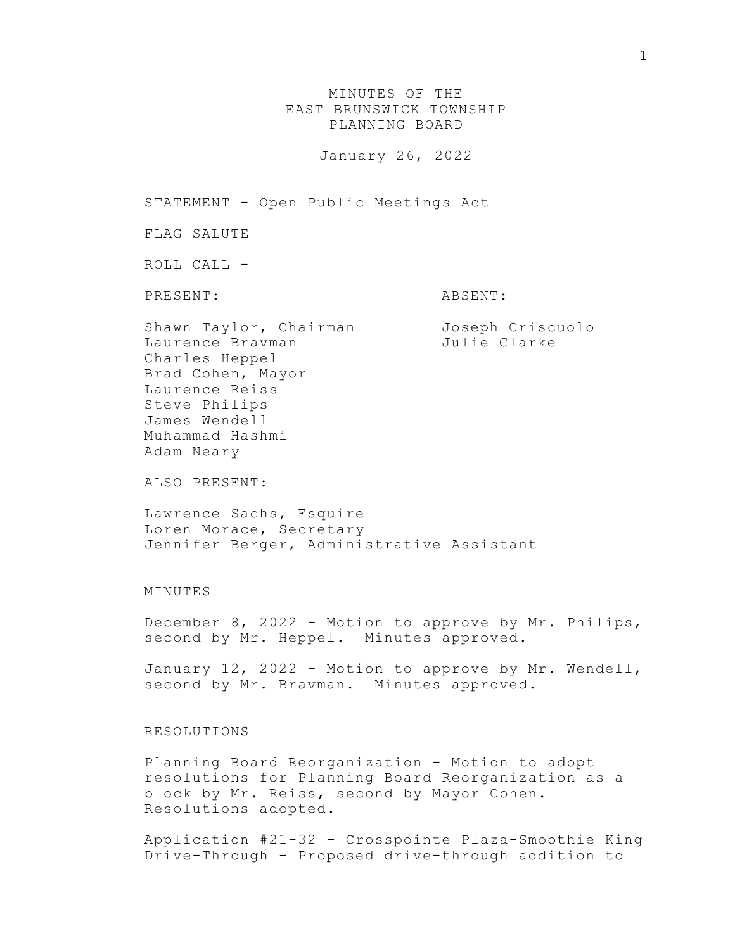MINUTES OF THE EAST BRUNSWICK TOWNSHIP PLANNING BOARD

January 26, 2022

STATEMENT - Open Public Meetings Act

FLAG SALUTE

ROLL CALL -

PRESENT: ABSENT:

Shawn Taylor, Chairman Joseph Criscuolo Laurence Bravman and Julie Clarke Charles Heppel Brad Cohen, Mayor Laurence Reiss Steve Philips James Wendell Muhammad Hashmi Adam Neary

ALSO PRESENT:

Lawrence Sachs, Esquire Loren Morace, Secretary Jennifer Berger, Administrative Assistant

## MINUTES

December 8, 2022 - Motion to approve by Mr. Philips, second by Mr. Heppel. Minutes approved.

January 12, 2022 - Motion to approve by Mr. Wendell, second by Mr. Bravman. Minutes approved.

## RESOLUTIONS

Planning Board Reorganization - Motion to adopt resolutions for Planning Board Reorganization as a block by Mr. Reiss, second by Mayor Cohen. Resolutions adopted.

Application #21-32 - Crosspointe Plaza-Smoothie King Drive-Through - Proposed drive-through addition to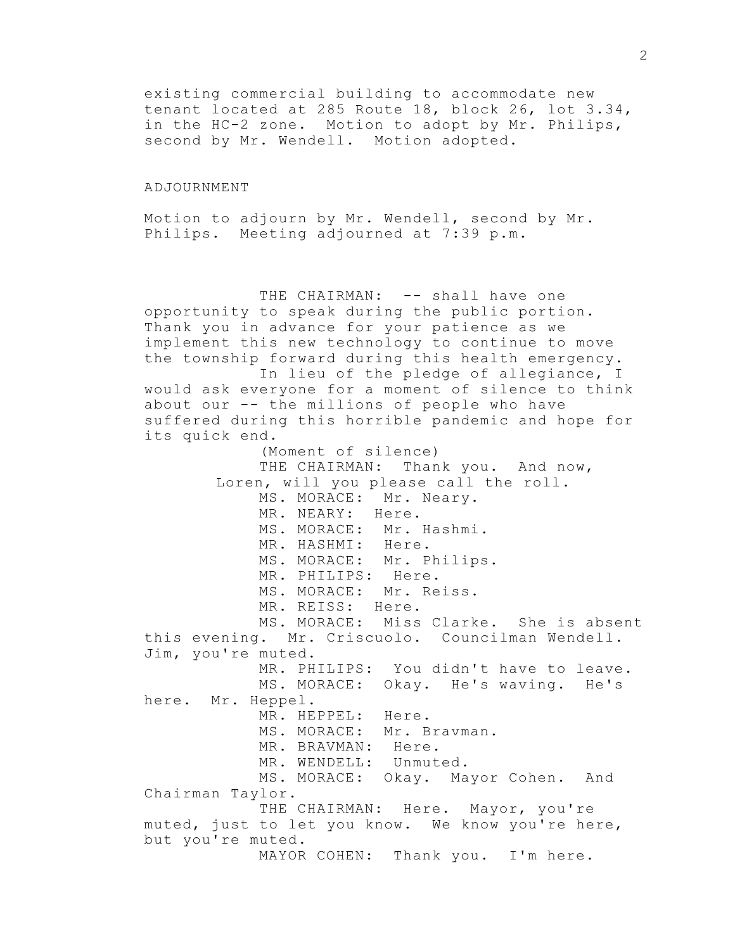existing commercial building to accommodate new tenant located at 285 Route 18, block 26, lot 3.34, in the HC-2 zone. Motion to adopt by Mr. Philips, second by Mr. Wendell. Motion adopted.

## ADJOURNMENT

Motion to adjourn by Mr. Wendell, second by Mr. Philips. Meeting adjourned at 7:39 p.m.

THE CHAIRMAN: -- shall have one opportunity to speak during the public portion. Thank you in advance for your patience as we implement this new technology to continue to move the township forward during this health emergency. In lieu of the pledge of allegiance, I would ask everyone for a moment of silence to think about our -- the millions of people who have suffered during this horrible pandemic and hope for its quick end. (Moment of silence) THE CHAIRMAN: Thank you. And now, Loren, will you please call the roll. MS. MORACE: Mr. Neary. MR. NEARY: Here. MS. MORACE: Mr. Hashmi. MR. HASHMI: Here. MS. MORACE: Mr. Philips. MR. PHILIPS: Here. MS. MORACE: Mr. Reiss. MR. REISS: Here. MS. MORACE: Miss Clarke. She is absent this evening. Mr. Criscuolo. Councilman Wendell. Jim, you're muted. MR. PHILIPS: You didn't have to leave. MS. MORACE: Okay. He's waving. He's here. Mr. Heppel. MR. HEPPEL: Here. MS. MORACE: Mr. Bravman. MR. BRAVMAN: Here. MR. WENDELL: Unmuted. MS. MORACE: Okay. Mayor Cohen. And Chairman Taylor. THE CHAIRMAN: Here. Mayor, you're muted, just to let you know. We know you're here, but you're muted. MAYOR COHEN: Thank you. I'm here.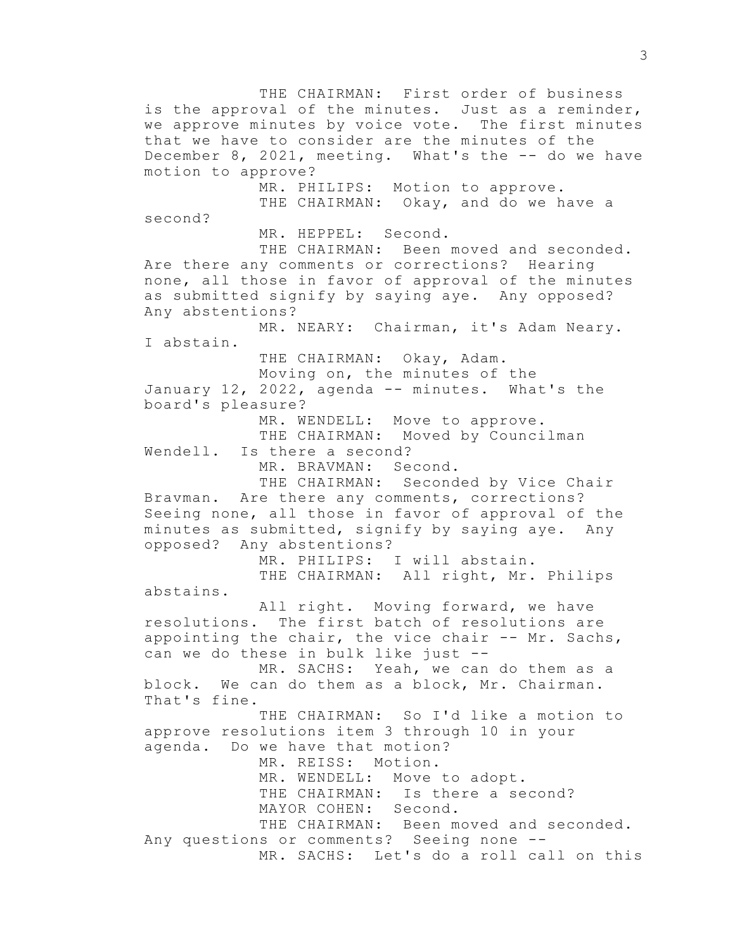THE CHAIRMAN: First order of business is the approval of the minutes. Just as a reminder, we approve minutes by voice vote. The first minutes that we have to consider are the minutes of the December 8, 2021, meeting. What's the -- do we have motion to approve? MR. PHILIPS: Motion to approve. THE CHAIRMAN: Okay, and do we have a second? MR. HEPPEL: Second. THE CHAIRMAN: Been moved and seconded. Are there any comments or corrections? Hearing none, all those in favor of approval of the minutes as submitted signify by saying aye. Any opposed? Any abstentions? MR. NEARY: Chairman, it's Adam Neary. I abstain. THE CHAIRMAN: Okay, Adam. Moving on, the minutes of the January 12, 2022, agenda -- minutes. What's the board's pleasure? MR. WENDELL: Move to approve. THE CHAIRMAN: Moved by Councilman Wendell. Is there a second? MR. BRAVMAN: Second. THE CHAIRMAN: Seconded by Vice Chair Bravman. Are there any comments, corrections? Seeing none, all those in favor of approval of the minutes as submitted, signify by saying aye. Any opposed? Any abstentions? MR. PHILIPS: I will abstain. THE CHAIRMAN: All right, Mr. Philips abstains. All right. Moving forward, we have resolutions. The first batch of resolutions are appointing the chair, the vice chair -- Mr. Sachs, can we do these in bulk like just -- MR. SACHS: Yeah, we can do them as a block. We can do them as a block, Mr. Chairman. That's fine. THE CHAIRMAN: So I'd like a motion to approve resolutions item 3 through 10 in your agenda. Do we have that motion? MR. REISS: Motion. MR. WENDELL: Move to adopt. THE CHAIRMAN: Is there a second? MAYOR COHEN: Second. THE CHAIRMAN: Been moved and seconded. Any questions or comments? Seeing none -- MR. SACHS: Let's do a roll call on this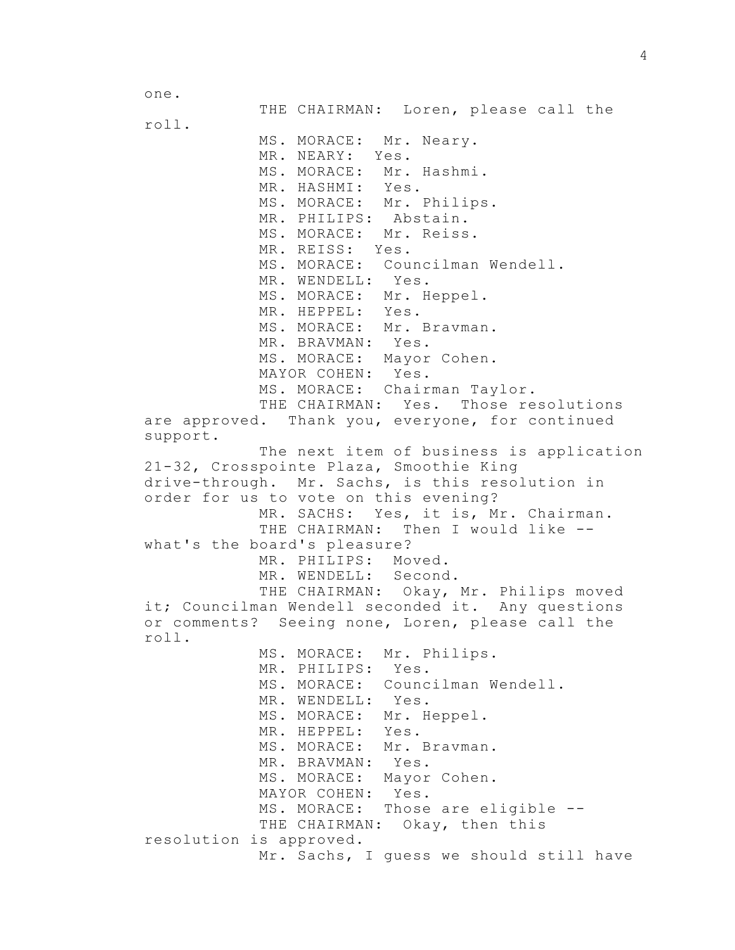one.

THE CHAIRMAN: Loren, please call the roll. MS. MORACE: Mr. Neary. MR. NEARY: Yes. MS. MORACE: Mr. Hashmi. MR. HASHMI: Yes. MS. MORACE: Mr. Philips. MR. PHILIPS: Abstain. MS. MORACE: Mr. Reiss. MR. REISS: Yes. MS. MORACE: Councilman Wendell. MR. WENDELL: Yes. MS. MORACE: Mr. Heppel. MR. HEPPEL: Yes. MS. MORACE: Mr. Bravman. MR. BRAVMAN: Yes. MS. MORACE: Mayor Cohen. MAYOR COHEN: Yes. MS. MORACE: Chairman Taylor. THE CHAIRMAN: Yes. Those resolutions are approved. Thank you, everyone, for continued support. The next item of business is application 21-32, Crosspointe Plaza, Smoothie King drive-through. Mr. Sachs, is this resolution in order for us to vote on this evening? MR. SACHS: Yes, it is, Mr. Chairman. THE CHAIRMAN: Then I would like -what's the board's pleasure? MR. PHILIPS: Moved. MR. WENDELL: Second. THE CHAIRMAN: Okay, Mr. Philips moved it; Councilman Wendell seconded it. Any questions or comments? Seeing none, Loren, please call the roll. MS. MORACE: Mr. Philips. MR. PHILIPS: Yes. MS. MORACE: Councilman Wendell. MR. WENDELL: Yes. MS. MORACE: Mr. Heppel. MR. HEPPEL: Yes. MS. MORACE: Mr. Bravman. MR. BRAVMAN: Yes. MS. MORACE: Mayor Cohen. MAYOR COHEN: Yes. MS. MORACE: Those are eligible -- THE CHAIRMAN: Okay, then this resolution is approved. Mr. Sachs, I guess we should still have